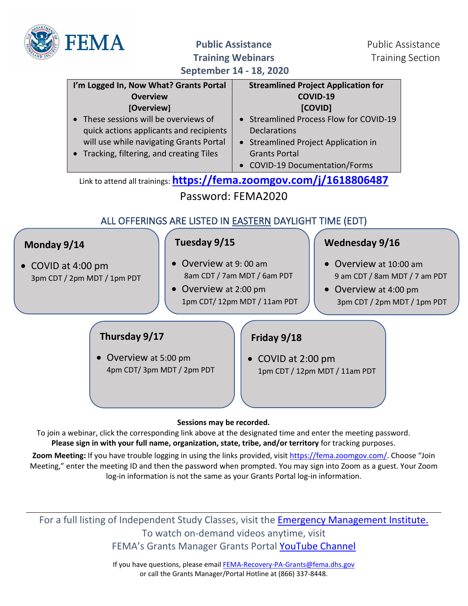

**Public Assistance** Public Assistance **Training Webinars** Training Section

**September 14 - 18, 2020**

|                                                                                                                                |                                                                                                                                                                                                                                                     | <b>SCALEMBEL 14 - TO' TATA</b>                                                                                             |                                                                                                                               |  |
|--------------------------------------------------------------------------------------------------------------------------------|-----------------------------------------------------------------------------------------------------------------------------------------------------------------------------------------------------------------------------------------------------|----------------------------------------------------------------------------------------------------------------------------|-------------------------------------------------------------------------------------------------------------------------------|--|
|                                                                                                                                | I'm Logged In, Now What? Grants Portal<br><b>Overview</b><br>[Overview]<br>• These sessions will be overviews of<br>quick actions applicants and recipients<br>will use while navigating Grants Portal<br>• Tracking, filtering, and creating Tiles | <b>Declarations</b><br>• Streamlined Project Application in<br><b>Grants Portal</b><br><b>COVID-19 Documentation/Forms</b> | <b>Streamlined Project Application for</b><br>COVID-19<br>[COVID]<br><b>Streamlined Process Flow for COVID-19</b>             |  |
|                                                                                                                                | Link to attend all trainings: https://fema.zoomgov.com/j/1618806487                                                                                                                                                                                 |                                                                                                                            |                                                                                                                               |  |
|                                                                                                                                |                                                                                                                                                                                                                                                     | Password: FEMA2020                                                                                                         |                                                                                                                               |  |
|                                                                                                                                | ALL OFFERINGS ARE LISTED IN EASTERN DAYLIGHT TIME (EDT)                                                                                                                                                                                             |                                                                                                                            |                                                                                                                               |  |
| Tuesday 9/15<br>Monday 9/14<br>Overview at 9:00 am<br>• COVID at 4:00 pm<br>3pm CDT / 2pm MDT / 1pm PDT<br>Overview at 2:00 pm |                                                                                                                                                                                                                                                     | 8am CDT / 7am MDT / 6am PDT<br>1pm CDT/12pm MDT/11am PDT                                                                   | Wednesday 9/16<br>Overview at 10:00 am<br>9 am CDT / 8am MDT / 7 am PDT<br>Overview at 4:00 pm<br>3pm CDT / 2pm MDT / 1pm PDT |  |
|                                                                                                                                | Thursday 9/17<br>Overview at 5:00 pm<br>4pm CDT/3pm MDT/2pm PDT                                                                                                                                                                                     | Friday 9/18<br>COVID at 2:00 pm                                                                                            | 1pm CDT / 12pm MDT / 11am PDT                                                                                                 |  |

## **Sessions may be recorded.**

To join a webinar, click the corresponding link above at the designated time and enter the meeting password. **Please sign in with your full name, organization, state, tribe, and/or territory** for tracking purposes.

Zoom Meeting: If you have trouble logging in using the links provided, visit [https://fema.zoomgov.com/.](https://fema.zoomgov.com/) Choose "Join Meeting," enter the meeting ID and then the password when prompted. You may sign into Zoom as a guest. Your Zoom log-in information is not the same as your Grants Portal log-in information.

For a full listing of Independent Study Classes, visit the **Emergency Management Institute.** To watch on-demand videos anytime, visit FEMA's Grants Manager Grants Portal [YouTube Channel](https://www.youtube.com/channel/UCIJp91Ds2IaVlR1t8uXcEKg)

> If you have questions, please email [FEMA-Recovery-PA-Grants@fema.dhs.gov](mailto:FEMA-Recovery-PA-Grants@fema.dhs.gov) or call the Grants Manager/Portal Hotline at (866) 337-8448.